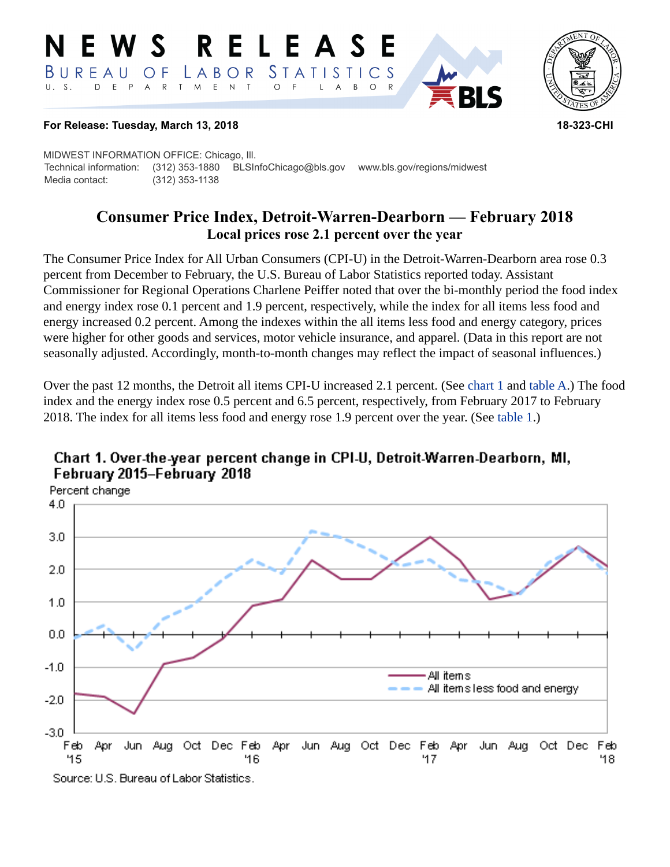#### RELEASE W S *STATISTICS* LABOR BUREAU  $\overline{O}$  F D E P  $\mathsf{R}$ T M  $E$  N  $T$  $U. S.$  $A$  $\circ$  $\overline{A}$  $B$  $\circ$ L



### **For Release: Tuesday, March 13, 2018 18-323-CHI**

MIDWEST INFORMATION OFFICE: Chicago, Ill. Technical information: (312) 353-1880 BLSInfoChicago@bls.gov www.bls.gov/regions/midwest Media contact: (312) 353-1138

# **Consumer Price Index, Detroit-Warren-Dearborn — February 2018 Local prices rose 2.1 percent over the year**

The Consumer Price Index for All Urban Consumers (CPI-U) in the Detroit-Warren-Dearborn area rose 0.3 percent from December to February, the U.S. Bureau of Labor Statistics reported today. Assistant Commissioner for Regional Operations Charlene Peiffer noted that over the bi-monthly period the food index and energy index rose 0.1 percent and 1.9 percent, respectively, while the index for all items less food and energy increased 0.2 percent. Among the indexes within the all items less food and energy category, prices were higher for other goods and services, motor vehicle insurance, and apparel. (Data in this report are not seasonally adjusted. Accordingly, month-to-month changes may reflect the impact of seasonal influences.)

Over the past 12 months, the Detroit all items CPI-U increased 2.1 percent. (See [chart 1](#page-0-0) and [table A](#page-1-0).) The food index and the energy index rose 0.5 percent and 6.5 percent, respectively, from February 2017 to February 2018. The index for all items less food and energy rose 1.9 percent over the year. (See [table 1](#page-3-0).)



# <span id="page-0-0"></span>Chart 1. Over-the-year percent change in CPI-U, Detroit-Warren-Dearborn, MI, February 2015-February 2018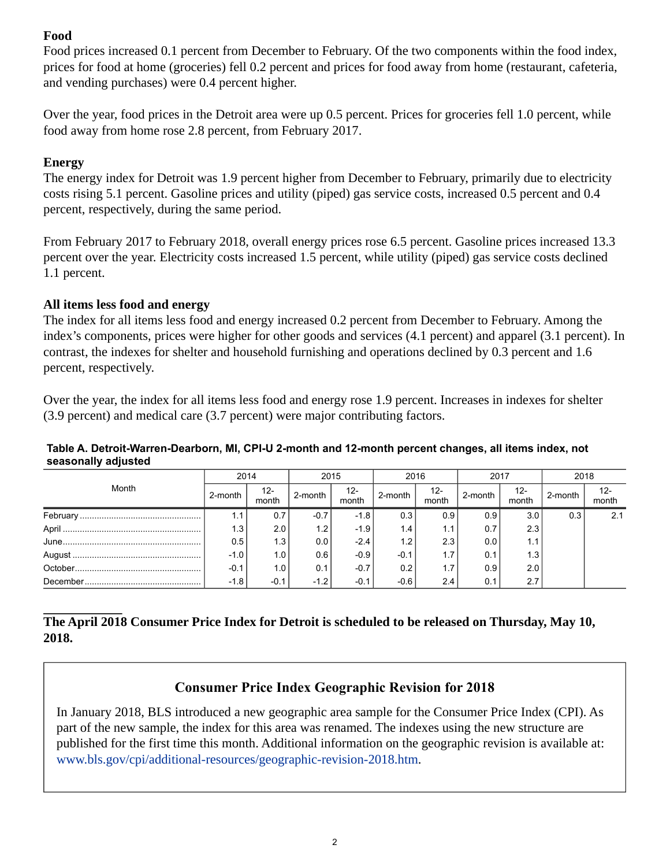## **Food**

Food prices increased 0.1 percent from December to February. Of the two components within the food index, prices for food at home (groceries) fell 0.2 percent and prices for food away from home (restaurant, cafeteria, and vending purchases) were 0.4 percent higher.

Over the year, food prices in the Detroit area were up 0.5 percent. Prices for groceries fell 1.0 percent, while food away from home rose 2.8 percent, from February 2017.

## **Energy**

The energy index for Detroit was 1.9 percent higher from December to February, primarily due to electricity costs rising 5.1 percent. Gasoline prices and utility (piped) gas service costs, increased 0.5 percent and 0.4 percent, respectively, during the same period.

From February 2017 to February 2018, overall energy prices rose 6.5 percent. Gasoline prices increased 13.3 percent over the year. Electricity costs increased 1.5 percent, while utility (piped) gas service costs declined 1.1 percent.

## **All items less food and energy**

The index for all items less food and energy increased 0.2 percent from December to February. Among the index's components, prices were higher for other goods and services (4.1 percent) and apparel (3.1 percent). In contrast, the indexes for shelter and household furnishing and operations declined by 0.3 percent and 1.6 percent, respectively.

Over the year, the index for all items less food and energy rose 1.9 percent. Increases in indexes for shelter (3.9 percent) and medical care (3.7 percent) were major contributing factors.

#### <span id="page-1-0"></span>**Table A. Detroit-Warren-Dearborn, MI, CPI-U 2-month and 12-month percent changes, all items index, not seasonally adjusted**

| Month | 2014    |                 | 2015                     |                 | 2016    |              | 2017    |              | 2018    |              |
|-------|---------|-----------------|--------------------------|-----------------|---------|--------------|---------|--------------|---------|--------------|
|       | 2-month | $12 -$<br>month | $\sum_{i=1}^{n}$ 2-month | $12 -$<br>month | 2-month | 12-<br>month | 2-month | 12-<br>month | 2-month | -12<br>month |
|       |         | 0.7             | $-0.7$                   | $-1.8$          | 0.3     | 0.9          | 0.9     | 3.0          | 0.3     | 2.1          |
|       | 1.3     | 2.0             | 1.2                      | $-1.9$          | 1.4     | 1.1          | 0.7     | 2.3          |         |              |
|       | 0.5     | 1.3             | 0.0                      | $-2.4'$         | 1.2     | 2.3          | 0.0     | 1.1          |         |              |
|       | $-1.0$  | 1.0             | 0.6                      | $-0.9$          | $-0.1$  | 1.7          | 0.1     | 1.3          |         |              |
|       | $-0.1$  | 1.0             | 0.11                     | $-0.7$          | 0.2     | 1.7          | 0.9     | 2.0          |         |              |
|       | $-1.8$  | $-0.1$          | $-1.2$                   | $-0.1$          | $-0.6$  | 2.4          | 0.1     | 2.7          |         |              |

## **The April 2018 Consumer Price Index for Detroit is scheduled to be released on Thursday, May 10, 2018.**

# **Consumer Price Index Geographic Revision for 2018**

In January 2018, BLS introduced a new geographic area sample for the Consumer Price Index (CPI). As part of the new sample, the index for this area was renamed. The indexes using the new structure are published for the first time this month. Additional information on the geographic revision is available at: [www.bls.gov/cpi/additional-resources/geographic-revision-2018.htm](https://www.bls.gov/cpi/additional-resources/geographic-revision-2018.htm).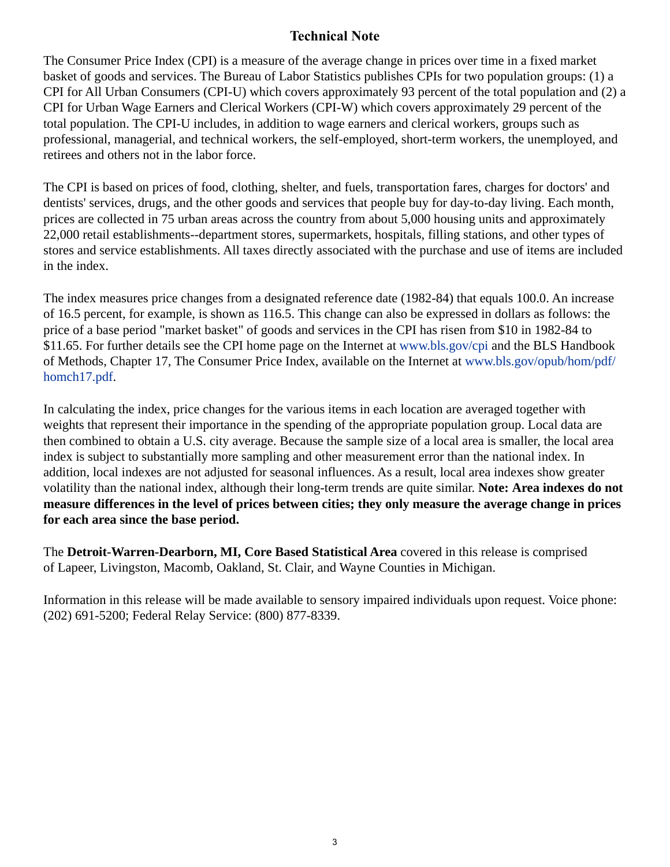## **Technical Note**

The Consumer Price Index (CPI) is a measure of the average change in prices over time in a fixed market basket of goods and services. The Bureau of Labor Statistics publishes CPIs for two population groups: (1) a CPI for All Urban Consumers (CPI-U) which covers approximately 93 percent of the total population and (2) a CPI for Urban Wage Earners and Clerical Workers (CPI-W) which covers approximately 29 percent of the total population. The CPI-U includes, in addition to wage earners and clerical workers, groups such as professional, managerial, and technical workers, the self-employed, short-term workers, the unemployed, and retirees and others not in the labor force.

The CPI is based on prices of food, clothing, shelter, and fuels, transportation fares, charges for doctors' and dentists' services, drugs, and the other goods and services that people buy for day-to-day living. Each month, prices are collected in 75 urban areas across the country from about 5,000 housing units and approximately 22,000 retail establishments--department stores, supermarkets, hospitals, filling stations, and other types of stores and service establishments. All taxes directly associated with the purchase and use of items are included in the index.

The index measures price changes from a designated reference date (1982-84) that equals 100.0. An increase of 16.5 percent, for example, is shown as 116.5. This change can also be expressed in dollars as follows: the price of a base period "market basket" of goods and services in the CPI has risen from \$10 in 1982-84 to \$11.65. For further details see the CPI home page on the Internet at [www.bls.gov/cpi](https://www.bls.gov/cpi) and the BLS Handbook of Methods, Chapter 17, The Consumer Price Index, available on the Internet at [www.bls.gov/opub/hom/pdf/](https://www.bls.gov/opub/hom/pdf/homch17.pdf) [homch17.pdf](https://www.bls.gov/opub/hom/pdf/homch17.pdf).

In calculating the index, price changes for the various items in each location are averaged together with weights that represent their importance in the spending of the appropriate population group. Local data are then combined to obtain a U.S. city average. Because the sample size of a local area is smaller, the local area index is subject to substantially more sampling and other measurement error than the national index. In addition, local indexes are not adjusted for seasonal influences. As a result, local area indexes show greater volatility than the national index, although their long-term trends are quite similar. **Note: Area indexes do not measure differences in the level of prices between cities; they only measure the average change in prices for each area since the base period.**

The **Detroit-Warren-Dearborn, MI, Core Based Statistical Area** covered in this release is comprised of Lapeer, Livingston, Macomb, Oakland, St. Clair, and Wayne Counties in Michigan.

Information in this release will be made available to sensory impaired individuals upon request. Voice phone: (202) 691-5200; Federal Relay Service: (800) 877-8339.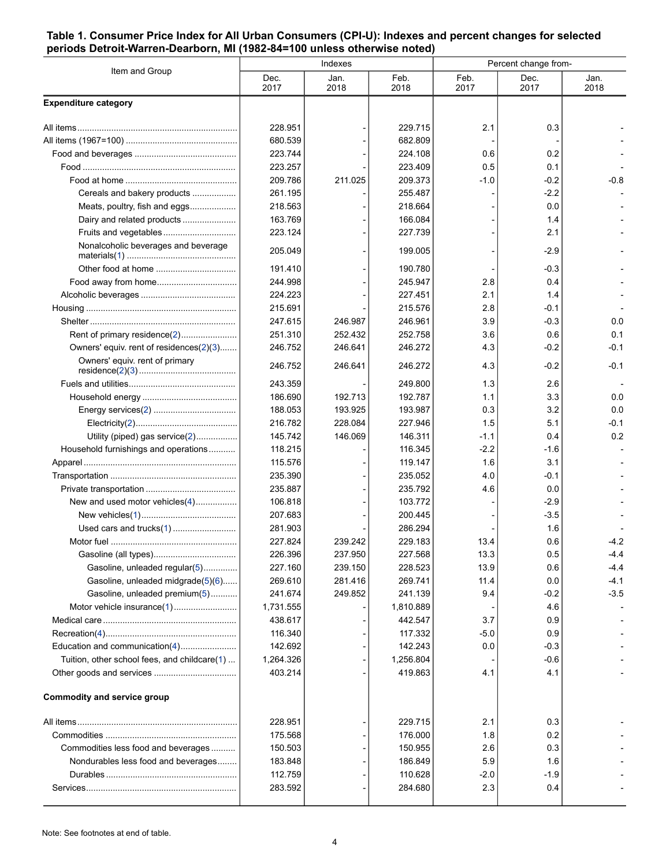#### <span id="page-3-0"></span>**Table 1. Consumer Price Index for All Urban Consumers (CPI-U): Indexes and percent changes for selected periods Detroit-Warren-Dearborn, MI (1982-84=100 unless otherwise noted)**

| Item and Group                               |              | Indexes      |              | Percent change from- |              |              |  |
|----------------------------------------------|--------------|--------------|--------------|----------------------|--------------|--------------|--|
|                                              | Dec.<br>2017 | Jan.<br>2018 | Feb.<br>2018 | Feb.<br>2017         | Dec.<br>2017 | Jan.<br>2018 |  |
| <b>Expenditure category</b>                  |              |              |              |                      |              |              |  |
|                                              | 228.951      |              | 229.715      | 2.1                  | 0.3          |              |  |
|                                              | 680.539      |              | 682.809      |                      |              |              |  |
|                                              | 223.744      |              | 224.108      | 0.6                  | 0.2          |              |  |
|                                              | 223.257      |              | 223.409      | 0.5                  | 0.1          |              |  |
|                                              | 209.786      | 211.025      | 209.373      | $-1.0$               | $-0.2$       | $-0.8$       |  |
| Cereals and bakery products                  | 261.195      |              | 255.487      |                      | $-2.2$       |              |  |
| Meats, poultry, fish and eggs                | 218.563      |              | 218.664      |                      | 0.0          |              |  |
| Dairy and related products                   | 163.769      |              | 166.084      |                      | 1.4          |              |  |
| Fruits and vegetables                        | 223.124      |              | 227.739      |                      | 2.1          |              |  |
| Nonalcoholic beverages and beverage          | 205.049      |              | 199.005      |                      | $-2.9$       |              |  |
|                                              | 191.410      |              | 190.780      |                      | $-0.3$       |              |  |
|                                              | 244.998      |              | 245.947      | 2.8                  | 0.4          |              |  |
|                                              | 224.223      |              | 227.451      | 2.1                  | 1.4          |              |  |
|                                              | 215.691      |              | 215.576      | 2.8                  | $-0.1$       |              |  |
|                                              | 247.615      | 246.987      | 246.961      | 3.9                  | $-0.3$       | 0.0          |  |
| Rent of primary residence(2)                 | 251.310      | 252.432      | 252.758      | 3.6                  | 0.6          | 0.1          |  |
| Owners' equiv. rent of residences(2)(3)      | 246.752      | 246.641      | 246.272      | 4.3                  | $-0.2$       | $-0.1$       |  |
| Owners' equiv. rent of primary               | 246.752      | 246.641      | 246.272      | 4.3                  | $-0.2$       | $-0.1$       |  |
|                                              | 243.359      |              | 249.800      | 1.3                  | 2.6          |              |  |
|                                              | 186.690      | 192.713      | 192.787      | 1.1                  | 3.3          | 0.0          |  |
|                                              | 188.053      | 193.925      | 193.987      | 0.3                  | 3.2          | 0.0          |  |
|                                              | 216.782      | 228.084      | 227.946      | 1.5                  | 5.1          | $-0.1$       |  |
| Utility (piped) gas service(2)               | 145.742      | 146.069      | 146.311      | $-1.1$               | 0.4          | 0.2          |  |
| Household furnishings and operations         | 118.215      |              | 116.345      | $-2.2$               | $-1.6$       |              |  |
|                                              | 115.576      |              | 119.147      | 1.6                  | 3.1          |              |  |
|                                              | 235.390      |              | 235.052      | 4.0                  | $-0.1$       |              |  |
|                                              | 235.887      |              | 235.792      | 4.6                  | 0.0          |              |  |
| New and used motor vehicles(4)               | 106.818      |              | 103.772      |                      | $-2.9$       |              |  |
|                                              | 207.683      |              | 200.445      |                      | $-3.5$       |              |  |
| Used cars and trucks(1)                      | 281.903      |              | 286.294      |                      | 1.6          |              |  |
|                                              | 227.824      | 239.242      | 229.183      | 13.4                 | 0.6          | $-4.2$       |  |
|                                              | 226.396      | 237.950      | 227.568      | 13.3                 | 0.5          | -4.4         |  |
| Gasoline, unleaded regular(5)                | 227.160      | 239.150      | 228.523      | 13.9                 | 0.6          | $-4.4$       |  |
| Gasoline, unleaded midgrade(5)(6)            | 269.610      | 281.416      | 269.741      | 11.4                 | 0.0          | $-4.1$       |  |
| Gasoline, unleaded premium(5)                | 241.674      | 249.852      | 241.139      | 9.4                  | $-0.2$       | $-3.5$       |  |
| Motor vehicle insurance(1)                   | 1,731.555    |              | 1,810.889    |                      | 4.6          |              |  |
|                                              | 438.617      |              | 442.547      | 3.7                  | 0.9          |              |  |
|                                              | 116.340      |              | 117.332      | $-5.0$               | 0.9          |              |  |
| Education and communication(4)               | 142.692      |              | 142.243      | 0.0                  | $-0.3$       |              |  |
| Tuition, other school fees, and childcare(1) | 1,264.326    |              | 1,256.804    |                      | $-0.6$       |              |  |
|                                              | 403.214      |              | 419.863      | 4.1                  | 4.1          |              |  |
| <b>Commodity and service group</b>           |              |              |              |                      |              |              |  |
|                                              | 228.951      |              | 229.715      | 2.1                  | 0.3          |              |  |
|                                              | 175.568      |              | 176.000      | 1.8                  | 0.2          |              |  |
| Commodities less food and beverages          | 150.503      |              | 150.955      | 2.6                  | 0.3          |              |  |
| Nondurables less food and beverages          | 183.848      |              | 186.849      | 5.9                  | 1.6          |              |  |
|                                              | 112.759      |              | 110.628      | $-2.0$               | $-1.9$       |              |  |
|                                              | 283.592      |              | 284.680      | 2.3                  | 0.4          |              |  |
|                                              |              |              |              |                      |              |              |  |